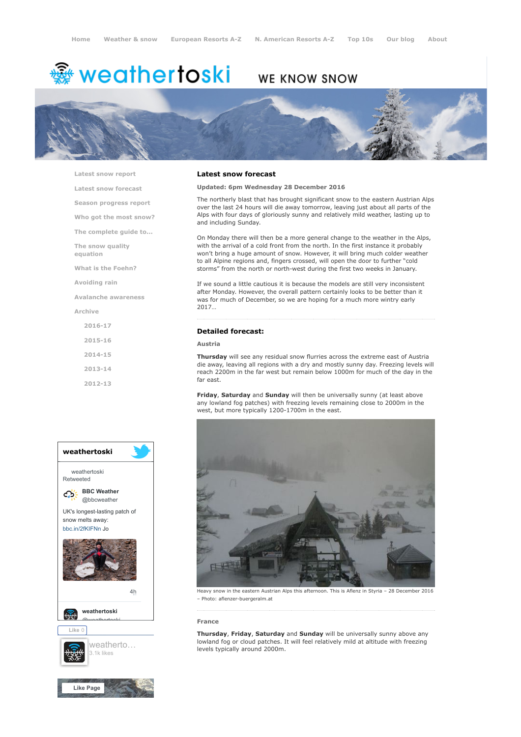# **※ weathertoski**

# WE KNOW SNOW



[Latest snow report](https://www.weathertoski.co.uk/weather-snow/latest-snow-report/)

[Latest snow forecast](https://www.weathertoski.co.uk/weather-snow/latest-snow-forecast/)

[Season progress report](https://www.weathertoski.co.uk/weather-snow/season-progress-report/)

[Who got the most snow?](https://www.weathertoski.co.uk/weather-snow/who-got-the-most-snow/)

[The complete guide to...](https://www.weathertoski.co.uk/weather-snow/the-complete-guide-to/)

[The snow quality](https://www.weathertoski.co.uk/weather-snow/the-snow-quality-equation/)

[What is the Foehn?](https://www.weathertoski.co.uk/weather-snow/what-is-the-foehn/)

[Avoiding rain](https://www.weathertoski.co.uk/weather-snow/avoiding-rain/)

[Avalanche awareness](https://www.weathertoski.co.uk/weather-snow/avalanche-awareness/)

[Archive](https://www.weathertoski.co.uk/weather-snow/archive/)

equation

[2016-17](https://www.weathertoski.co.uk/weather-snow/archive/2016-17/) [2015-16](https://www.weathertoski.co.uk/weather-snow/archive/2015-16/) [2014-15](https://www.weathertoski.co.uk/weather-snow/archive/2014-15/) [2013-14](https://www.weathertoski.co.uk/weather-snow/archive/2013-14/) [2012-13](https://www.weathertoski.co.uk/weather-snow/archive/2012-13/)



#### Latest snow forecast

Updated: 6pm Wednesday 28 December 2016

The northerly blast that has brought significant snow to the eastern Austrian Alps over the last 24 hours will die away tomorrow, leaving just about all parts of the Alps with four days of gloriously sunny and relatively mild weather, lasting up to and including Sunday.

On Monday there will then be a more general change to the weather in the Alps, with the arrival of a cold front from the north. In the first instance it probably won't bring a huge amount of snow. However, it will bring much colder weather to all Alpine regions and, fingers crossed, will open the door to further "cold storms" from the north or north-west during the first two weeks in January.

If we sound a little cautious it is because the models are still very inconsistent after Monday. However, the overall pattern certainly looks to be better than it was for much of December, so we are hoping for a much more wintry early 2017…

# Detailed forecast:

# Austria

Thursday will see any residual snow flurries across the extreme east of Austria die away, leaving all regions with a dry and mostly sunny day. Freezing levels will reach 2200m in the far west but remain below 1000m for much of the day in the far east.

Friday, Saturday and Sunday will then be universally sunny (at least above any lowland fog patches) with freezing levels remaining close to 2000m in the west, but more typically 1200-1700m in the east.



Heavy snow in the eastern Austrian Alps this afternoon. This is Aflenz in Styria – 28 December 2016 – Photo: aflenzer-buergeralm.at

#### France

Thursday, Friday, Saturday and Sunday will be universally sunny above any lowland fog or cloud patches. It will feel relatively mild at altitude with freezing levels typically around 2000m.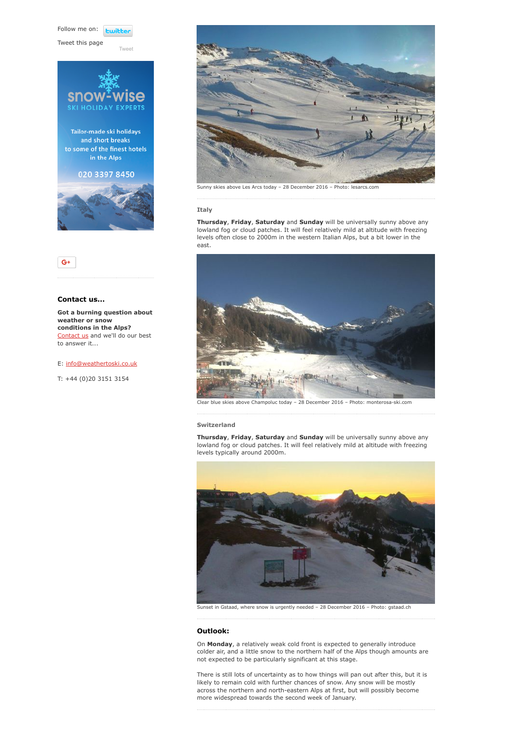Follow me on: **Lwitt** 

[Tweet](https://twitter.com/intent/tweet?original_referer=https%3A%2F%2Fwww.weathertoski.co.uk%2Fweather-snow%2Farchive%2Fsnow-forecast-28-12-2016%2F&ref_src=twsrc%5Etfw&text=Weather%20to%20ski%20-%20Snow%20forecast%20-%2028%20December%202016&tw_p=tweetbutton&url=https%3A%2F%2Fwww.weathertoski.co.uk%2Fweather-snow%2Farchive%2Fsnow-forecast-28-12-2016%2F)

Tweet this page







# Contact us...

Got a burning question about weather or snow conditions in the Alps? [Contact us](https://www.weathertoski.co.uk/about-1/contact-us/) and we'll do our best to answer it...

#### E: [info@weathertoski.co.uk](mailto:fraser@weathertoski.co.uk)

T: +44 (0)20 3151 3154



Sunny skies above Les Arcs today – 28 December 2016 – Photo: lesarcs.com

#### **Italy**

Thursday, Friday, Saturday and Sunday will be universally sunny above any lowland fog or cloud patches. It will feel relatively mild at altitude with freezing levels often close to 2000m in the western Italian Alps, but a bit lower in the east.



Clear blue skies above Champoluc today – 28 December 2016 – Photo: monterosa-ski.com

# Switzerland

Thursday, Friday, Saturday and Sunday will be universally sunny above any lowland fog or cloud patches. It will feel relatively mild at altitude with freezing levels typically around 2000m.



Sunset in Gstaad, where snow is urgently needed – 28 December 2016 – Photo: gstaad.ch

#### Outlook:

On Monday, a relatively weak cold front is expected to generally introduce colder air, and a little snow to the northern half of the Alps though amounts are not expected to be particularly significant at this stage.

There is still lots of uncertainty as to how things will pan out after this, but it is likely to remain cold with further chances of snow. Any snow will be mostly across the northern and north-eastern Alps at first, but will possibly become more widespread towards the second week of January.